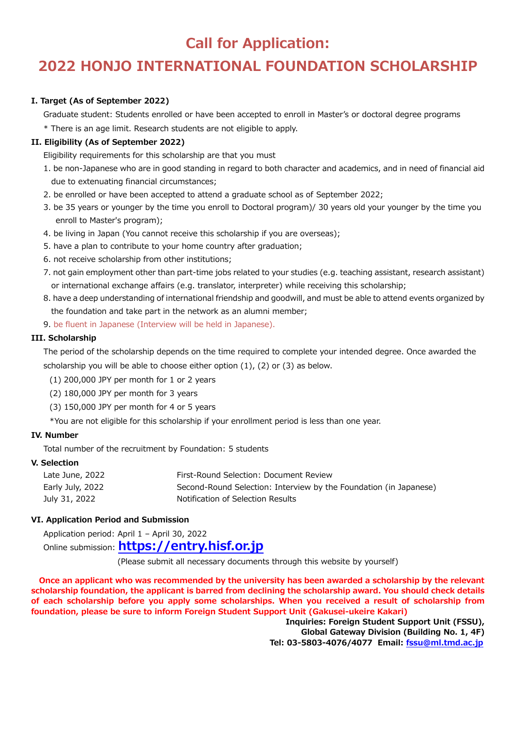# **Call for Application:**

# **2022 HONJO INTERNATIONAL FOUNDATION SCHOLARSHIP**

### **I. Target (As of September 2022)**

Graduate student: Students enrolled or have been accepted to enroll in Master's or doctoral degree programs

\* There is an age limit. Research students are not eligible to apply.

### **II. Eligibility (As of September 2022)**

Eligibility requirements for this scholarship are that you must

- 1. be non-Japanese who are in good standing in regard to both character and academics, and in need of financial aid due to extenuating financial circumstances;
- 2. be enrolled or have been accepted to attend a graduate school as of September 2022;
- 3. be 35 years or younger by the time you enroll to Doctoral program)/ 30 years old your younger by the time you enroll to Master's program);
- 4. be living in Japan (You cannot receive this scholarship if you are overseas);
- 5. have a plan to contribute to your home country after graduation;
- 6. not receive scholarship from other institutions;
- 7. not gain employment other than part-time jobs related to your studies (e.g. teaching assistant, research assistant) or international exchange affairs (e.g. translator, interpreter) while receiving this scholarship;
- 8. have a deep understanding of international friendship and goodwill, and must be able to attend events organized by the foundation and take part in the network as an alumni member;
- 9. be fluent in Japanese (Interview will be held in Japanese).

### **III. Scholarship**

The period of the scholarship depends on the time required to complete your intended degree. Once awarded the scholarship you will be able to choose either option (1), (2) or (3) as below.

- (1) 200,000 JPY per month for 1 or 2 years
- (2) 180,000 JPY per month for 3 years
- (3) 150,000 JPY per month for 4 or 5 years
- \*You are not eligible for this scholarship if your enrollment period is less than one year.

### **IV. Number**

Total number of the recruitment by Foundation: 5 students

### **V. Selection**

| Late June, 2022  | First-Round Selection: Document Review                            |
|------------------|-------------------------------------------------------------------|
| Early July, 2022 | Second-Round Selection: Interview by the Foundation (in Japanese) |
| July 31, 2022    | Notification of Selection Results                                 |

### **VI. Application Period and Submission**

Application period: April 1 – April 30, 2022

Online submission: **[https://entry.hisf.or.jp](https://entry.hisf.or.jp/)**

(Please submit all necessary documents through this website by yourself)

 **Once an applicant who was recommended by the university has been awarded a scholarship by the relevant scholarship foundation, the applicant is barred from declining the scholarship award. You should check details of each scholarship before you apply some scholarships. When you received a result of scholarship from foundation, please be sure to inform Foreign Student Support Unit (Gakusei-ukeire Kakari)**

**Inquiries: Foreign Student Support Unit (FSSU), Global Gateway Division (Building No. 1, 4F) Tel: 03-5803-4076/4077 Email: [fssu@ml.tmd.ac.jp](mailto:fssu@ml.tmd.ac.jp)**